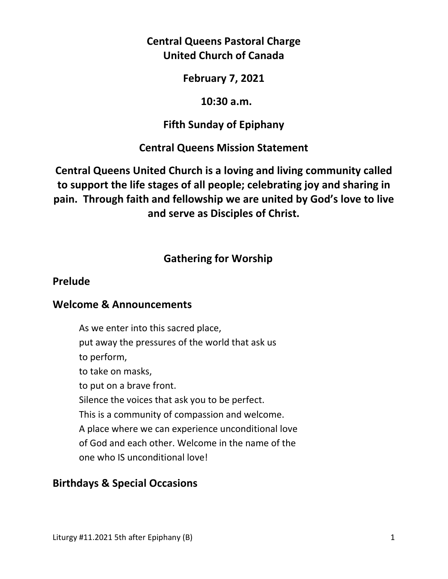# **Central Queens Pastoral Charge United Church of Canada**

#### **February 7, 2021**

#### **10:30 a.m.**

## **Fifth Sunday of Epiphany**

## **Central Queens Mission Statement**

**Central Queens United Church is a loving and living community called to support the life stages of all people; celebrating joy and sharing in pain. Through faith and fellowship we are united by God's love to live and serve as Disciples of Christ.**

# **Gathering for Worship**

#### **Prelude**

#### **Welcome & Announcements**

As we enter into this sacred place, put away the pressures of the world that ask us to perform, to take on masks, to put on a brave front. Silence the voices that ask you to be perfect. This is a community of compassion and welcome. A place where we can experience unconditional love of God and each other. Welcome in the name of the one who IS unconditional love!

## **Birthdays & Special Occasions**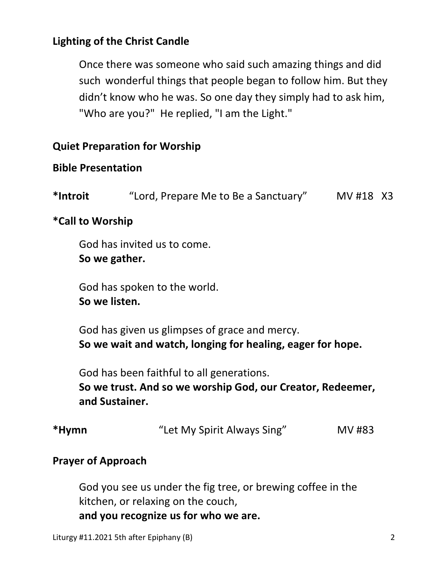# **Lighting of the Christ Candle**

Once there was someone who said such amazing things and did such wonderful things that people began to follow him. But they didn't know who he was. So one day they simply had to ask him, "Who are you?" He replied, "I am the Light."

## **Quiet Preparation for Worship**

## **Bible Presentation**

**\*Introit** "Lord, Prepare Me to Be a Sanctuary" MV #18X3

## **\*Call to Worship**

God has invited us to come.  **So we gather.** 

 God has spoken to the world.  **So we listen.** 

 God has given us glimpses of grace and mercy.  **So we wait and watch, longing for healing, eager for hope.**

God has been faithful to all generations.

 **So we trust. And so we worship God, our Creator, Redeemer, and Sustainer.**

| *Hymn | "Let My Spirit Always Sing" | MV #83 |
|-------|-----------------------------|--------|
|-------|-----------------------------|--------|

## **Prayer of Approach**

 God you see us under the fig tree, or brewing coffee in the kitchen, or relaxing on the couch,  **and you recognize us for who we are.**

```
Liturgy #11.2021 5th after Epiphany (B) 2
```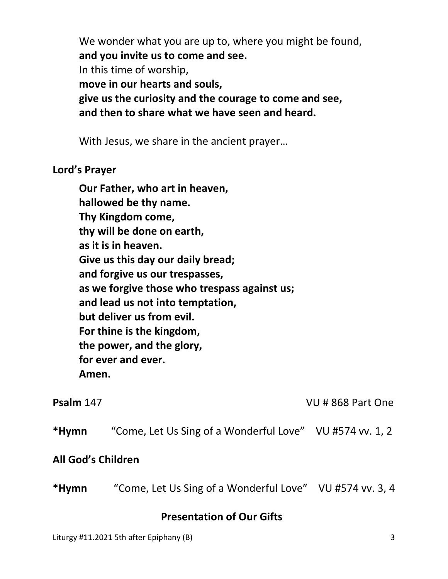We wonder what you are up to, where you might be found,  **and you invite us to come and see.** In this time of worship,  **move in our hearts and souls, give us the curiosity and the courage to come and see, and then to share what we have seen and heard.**

With Jesus, we share in the ancient prayer…

#### **Lord's Prayer**

**Our Father, who art in heaven, hallowed be thy name. Thy Kingdom come, thy will be done on earth, as it is in heaven. Give us this day our daily bread; and forgive us our trespasses, as we forgive those who trespass against us; and lead us not into temptation, but deliver us from evil. For thine is the kingdom, the power, and the glory, for ever and ever. Amen.** 

| Psalm 147 |
|-----------|
|-----------|

**Psalm** 147 VU # 868 Part One

**\*Hymn** "Come, Let Us Sing of a Wonderful Love"VU #574 vv. 1, 2

## **All God's Children**

**\*Hymn** "Come, Let Us Sing of a Wonderful Love"VU #574 vv. 3, 4

## **Presentation of Our Gifts**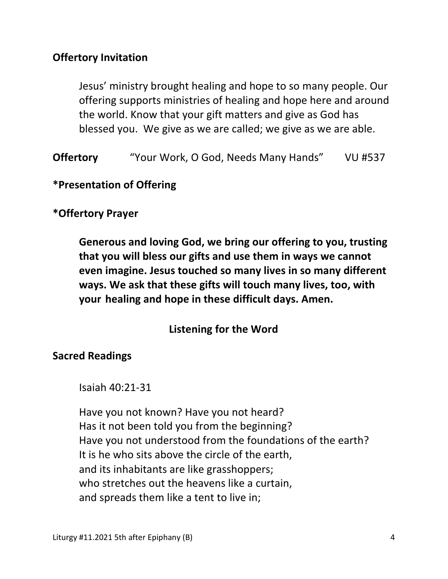## **Offertory Invitation**

 Jesus' ministry brought healing and hope to so many people. Our offering supports ministries of healing and hope here and around the world. Know that your gift matters and give as God has blessed you. We give as we are called; we give as we are able.

**Offertory** "Your Work, O God, Needs Many Hands" VU #537

**\*Presentation of Offering** 

## **\*Offertory Prayer**

**Generous and loving God, we bring our offering to you, trusting that you will bless our gifts and use them in ways we cannot even imagine. Jesus touched so many lives in so many different ways. We ask that these gifts will touch many lives, too, with your healing and hope in these difficult days. Amen.** 

## **Listening for the Word**

#### **Sacred Readings**

Isaiah 40:21-31

 Have you not known? Have you not heard? Has it not been told you from the beginning? Have you not understood from the foundations of the earth? It is he who sits above the circle of the earth, and its inhabitants are like grasshoppers; who stretches out the heavens like a curtain, and spreads them like a tent to live in;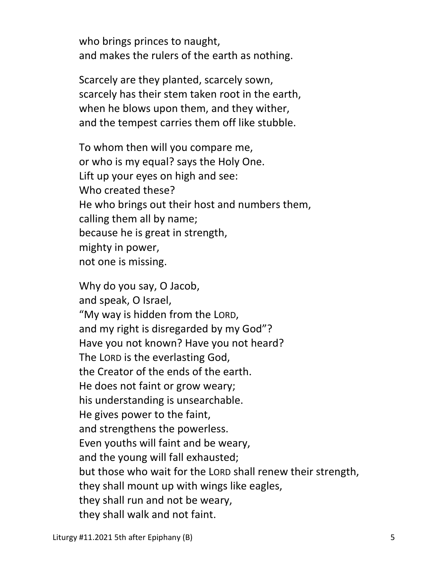who brings princes to naught, and makes the rulers of the earth as nothing.

Scarcely are they planted, scarcely sown, scarcely has their stem taken root in the earth, when he blows upon them, and they wither, and the tempest carries them off like stubble.

To whom then will you compare me, or who is my equal? says the Holy One. Lift up your eyes on high and see: Who created these? He who brings out their host and numbers them, calling them all by name; because he is great in strength, mighty in power, not one is missing.

Why do you say, O Jacob, and speak, O Israel, "My way is hidden from the LORD, and my right is disregarded by my God"? Have you not known? Have you not heard? The LORD is the everlasting God, the Creator of the ends of the earth. He does not faint or grow weary; his understanding is unsearchable. He gives power to the faint, and strengthens the powerless. Even youths will faint and be weary, and the young will fall exhausted; but those who wait for the LORD shall renew their strength, they shall mount up with wings like eagles, they shall run and not be weary, they shall walk and not faint.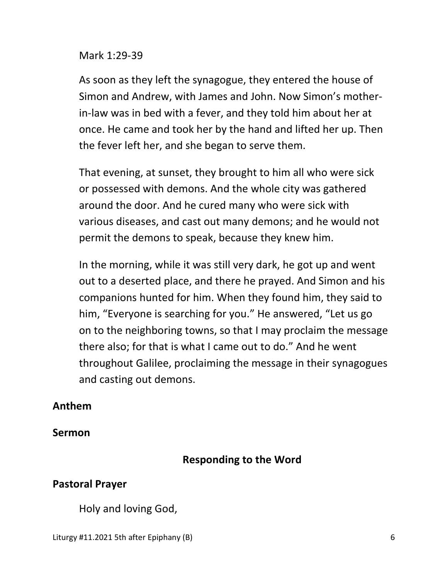#### Mark 1:29-39

As soon as they left the synagogue, they entered the house of Simon and Andrew, with James and John. Now Simon's mother in-law was in bed with a fever, and they told him about her at once. He came and took her by the hand and lifted her up. Then the fever left her, and she began to serve them.

That evening, at sunset, they brought to him all who were sick or possessed with demons. And the whole city was gathered around the door. And he cured many who were sick with various diseases, and cast out many demons; and he would not permit the demons to speak, because they knew him.

In the morning, while it was still very dark, he got up and went out to a deserted place, and there he prayed. And Simon and his companions hunted for him. When they found him, they said to him, "Everyone is searching for you." He answered, "Let us go on to the neighboring towns, so that I may proclaim the message there also; for that is what I came out to do." And he went throughout Galilee, proclaiming the message in their synagogues and casting out demons.

## **Anthem**

#### **Sermon**

## **Responding to the Word**

#### **Pastoral Prayer**

Holy and loving God,

Liturgy #11.2021 5th after Epiphany (B) 6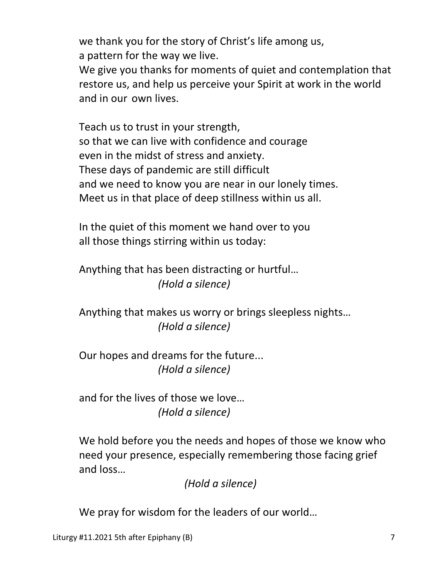we thank you for the story of Christ's life among us, a pattern for the way we live.

 We give you thanks for moments of quiet and contemplation that restore us, and help us perceive your Spirit at work in the world and in our own lives.

 Teach us to trust in your strength, so that we can live with confidence and courage even in the midst of stress and anxiety. These days of pandemic are still difficult and we need to know you are near in our lonely times. Meet us in that place of deep stillness within us all.

 In the quiet of this moment we hand over to you all those things stirring within us today:

 Anything that has been distracting or hurtful…  *(Hold a silence)*

 Anything that makes us worry or brings sleepless nights…  *(Hold a silence)*

 Our hopes and dreams for the future...  *(Hold a silence)*

 and for the lives of those we love…  *(Hold a silence)*

 We hold before you the needs and hopes of those we know who need your presence, especially remembering those facing grief and loss…

 *(Hold a silence)*

We pray for wisdom for the leaders of our world…

Liturgy #11.2021 5th after Epiphany (B) **7** and 2011 12:30 and 2011 12:30 and 2011 12:30 and 2011 12:30 and 2011 12:30 and 2011 12:30 and 2011 12:30 and 2011 12:30 and 2011 12:30 and 2011 12:30 and 2011 12:30 and 2011 12:3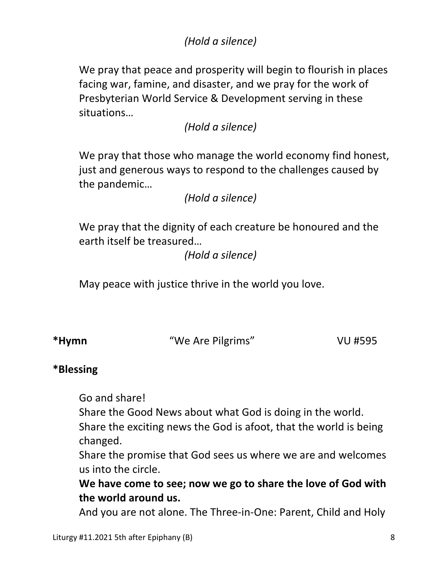# *(Hold a silence)*

 We pray that peace and prosperity will begin to flourish in places facing war, famine, and disaster, and we pray for the work of Presbyterian World Service & Development serving in these situations…

 *(Hold a silence)*

 We pray that those who manage the world economy find honest, just and generous ways to respond to the challenges caused by the pandemic…

 *(Hold a silence)*

 We pray that the dignity of each creature be honoured and the earth itself be treasured…

 *(Hold a silence)*

May peace with justice thrive in the world you love.

**\*Hymn** "We Are Pilgrims" VU #595

## **\*Blessing**

Go and share!

Share the Good News about what God is doing in the world.

 Share the exciting news the God is afoot, that the world is being changed.

 Share the promise that God sees us where we are and welcomes us into the circle.

 **We have come to see; now we go to share the love of God with the world around us.**

And you are not alone. The Three-in-One: Parent, Child and Holy